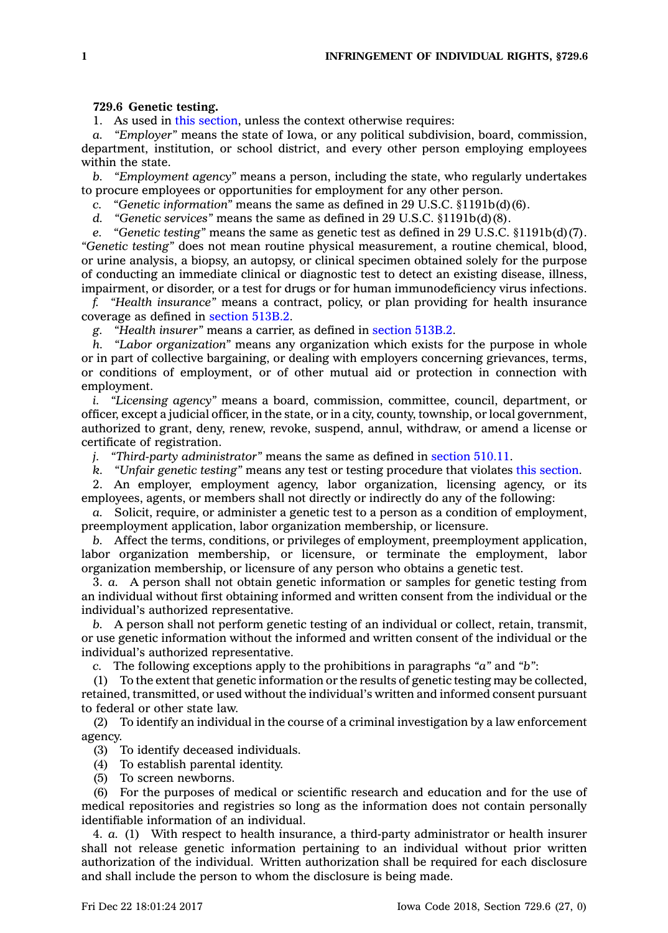## **729.6 Genetic testing.**

1. As used in this [section](https://www.legis.iowa.gov/docs/code/729.6.pdf), unless the context otherwise requires:

*a. "Employer"* means the state of Iowa, or any political subdivision, board, commission, department, institution, or school district, and every other person employing employees within the state.

*b. "Employment agency"* means <sup>a</sup> person, including the state, who regularly undertakes to procure employees or opportunities for employment for any other person.

*c. "Genetic information"* means the same as defined in 29 U.S.C. §1191b(d)(6).

*d. "Genetic services"* means the same as defined in 29 U.S.C. §1191b(d)(8).

*e. "Genetic testing"* means the same as genetic test as defined in 29 U.S.C. §1191b(d)(7). *"Genetic testing"* does not mean routine physical measurement, <sup>a</sup> routine chemical, blood, or urine analysis, <sup>a</sup> biopsy, an autopsy, or clinical specimen obtained solely for the purpose of conducting an immediate clinical or diagnostic test to detect an existing disease, illness, impairment, or disorder, or <sup>a</sup> test for drugs or for human immunodeficiency virus infections.

*f. "Health insurance"* means <sup>a</sup> contract, policy, or plan providing for health insurance coverage as defined in [section](https://www.legis.iowa.gov/docs/code/513B.2.pdf) 513B.2.

*g. "Health insurer"* means <sup>a</sup> carrier, as defined in [section](https://www.legis.iowa.gov/docs/code/513B.2.pdf) 513B.2.

*h. "Labor organization"* means any organization which exists for the purpose in whole or in part of collective bargaining, or dealing with employers concerning grievances, terms, or conditions of employment, or of other mutual aid or protection in connection with employment.

*i. "Licensing agency"* means <sup>a</sup> board, commission, committee, council, department, or officer, except <sup>a</sup> judicial officer, in the state, or in <sup>a</sup> city, county, township, or local government, authorized to grant, deny, renew, revoke, suspend, annul, withdraw, or amend <sup>a</sup> license or certificate of registration.

*j. "Third-party administrator"* means the same as defined in [section](https://www.legis.iowa.gov/docs/code/510.11.pdf) 510.11.

*k. "Unfair genetic testing"* means any test or testing procedure that violates this [section](https://www.legis.iowa.gov/docs/code/729.6.pdf).

2. An employer, employment agency, labor organization, licensing agency, or its employees, agents, or members shall not directly or indirectly do any of the following:

*a.* Solicit, require, or administer <sup>a</sup> genetic test to <sup>a</sup> person as <sup>a</sup> condition of employment, preemployment application, labor organization membership, or licensure.

*b.* Affect the terms, conditions, or privileges of employment, preemployment application, labor organization membership, or licensure, or terminate the employment, labor organization membership, or licensure of any person who obtains <sup>a</sup> genetic test.

3. *a.* A person shall not obtain genetic information or samples for genetic testing from an individual without first obtaining informed and written consent from the individual or the individual's authorized representative.

*b.* A person shall not perform genetic testing of an individual or collect, retain, transmit, or use genetic information without the informed and written consent of the individual or the individual's authorized representative.

*c.* The following exceptions apply to the prohibitions in paragraphs *"a"* and *"b"*:

(1) To the extent that genetic information or the results of genetic testing may be collected, retained, transmitted, or used without the individual's written and informed consent pursuant to federal or other state law.

(2) To identify an individual in the course of <sup>a</sup> criminal investigation by <sup>a</sup> law enforcement agency.

(3) To identify deceased individuals.

(4) To establish parental identity.

(5) To screen newborns.

(6) For the purposes of medical or scientific research and education and for the use of medical repositories and registries so long as the information does not contain personally identifiable information of an individual.

4. *a.* (1) With respect to health insurance, <sup>a</sup> third-party administrator or health insurer shall not release genetic information pertaining to an individual without prior written authorization of the individual. Written authorization shall be required for each disclosure and shall include the person to whom the disclosure is being made.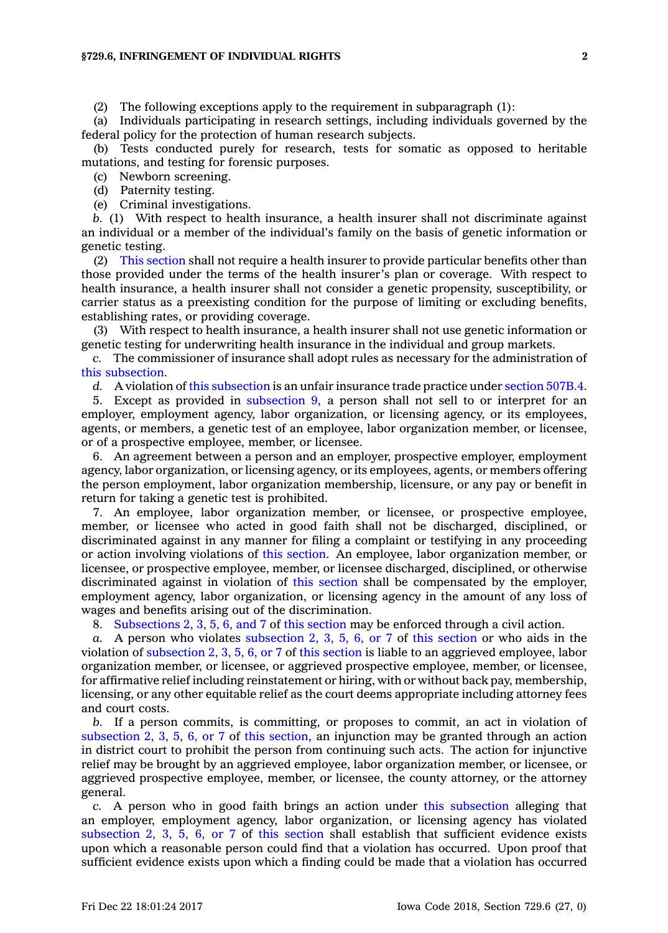(2) The following exceptions apply to the requirement in subparagraph (1):

(a) Individuals participating in research settings, including individuals governed by the federal policy for the protection of human research subjects.

(b) Tests conducted purely for research, tests for somatic as opposed to heritable mutations, and testing for forensic purposes.

(c) Newborn screening.

(d) Paternity testing.

(e) Criminal investigations.

*b.* (1) With respect to health insurance, <sup>a</sup> health insurer shall not discriminate against an individual or <sup>a</sup> member of the individual's family on the basis of genetic information or genetic testing.

(2) This [section](https://www.legis.iowa.gov/docs/code/729.6.pdf) shall not require <sup>a</sup> health insurer to provide particular benefits other than those provided under the terms of the health insurer's plan or coverage. With respect to health insurance, <sup>a</sup> health insurer shall not consider <sup>a</sup> genetic propensity, susceptibility, or carrier status as <sup>a</sup> preexisting condition for the purpose of limiting or excluding benefits, establishing rates, or providing coverage.

(3) With respect to health insurance, <sup>a</sup> health insurer shall not use genetic information or genetic testing for underwriting health insurance in the individual and group markets.

*c.* The commissioner of insurance shall adopt rules as necessary for the administration of this [subsection](https://www.legis.iowa.gov/docs/code/729.6.pdf).

*d.* A violation of this [subsection](https://www.legis.iowa.gov/docs/code/729.6.pdf) is an unfair insurance trade practice under [section](https://www.legis.iowa.gov/docs/code/507B.4.pdf) 507B.4.

5. Except as provided in [subsection](https://www.legis.iowa.gov/docs/code/729.6.pdf) 9, <sup>a</sup> person shall not sell to or interpret for an employer, employment agency, labor organization, or licensing agency, or its employees, agents, or members, <sup>a</sup> genetic test of an employee, labor organization member, or licensee, or of <sup>a</sup> prospective employee, member, or licensee.

6. An agreement between <sup>a</sup> person and an employer, prospective employer, employment agency, labor organization, or licensing agency, or its employees, agents, or members offering the person employment, labor organization membership, licensure, or any pay or benefit in return for taking <sup>a</sup> genetic test is prohibited.

7. An employee, labor organization member, or licensee, or prospective employee, member, or licensee who acted in good faith shall not be discharged, disciplined, or discriminated against in any manner for filing <sup>a</sup> complaint or testifying in any proceeding or action involving violations of this [section](https://www.legis.iowa.gov/docs/code/729.6.pdf). An employee, labor organization member, or licensee, or prospective employee, member, or licensee discharged, disciplined, or otherwise discriminated against in violation of this [section](https://www.legis.iowa.gov/docs/code/729.6.pdf) shall be compensated by the employer, employment agency, labor organization, or licensing agency in the amount of any loss of wages and benefits arising out of the discrimination.

8. [Subsections](https://www.legis.iowa.gov/docs/code/729.6.pdf) 2, 3, 5, 6, and 7 of this [section](https://www.legis.iowa.gov/docs/code/729.6.pdf) may be enforced through <sup>a</sup> civil action.

*a.* A person who violates [subsection](https://www.legis.iowa.gov/docs/code/729.6.pdf) 2, 3, 5, 6, or 7 of this [section](https://www.legis.iowa.gov/docs/code/729.6.pdf) or who aids in the violation of [subsection](https://www.legis.iowa.gov/docs/code/729.6.pdf) 2, 3, 5, 6, or 7 of this [section](https://www.legis.iowa.gov/docs/code/729.6.pdf) is liable to an aggrieved employee, labor organization member, or licensee, or aggrieved prospective employee, member, or licensee, for affirmative relief including reinstatement or hiring, with or without back pay, membership, licensing, or any other equitable relief as the court deems appropriate including attorney fees and court costs.

*b.* If <sup>a</sup> person commits, is committing, or proposes to commit, an act in violation of [subsection](https://www.legis.iowa.gov/docs/code/729.6.pdf) 2, 3, 5, 6, or 7 of this [section](https://www.legis.iowa.gov/docs/code/729.6.pdf), an injunction may be granted through an action in district court to prohibit the person from continuing such acts. The action for injunctive relief may be brought by an aggrieved employee, labor organization member, or licensee, or aggrieved prospective employee, member, or licensee, the county attorney, or the attorney general.

*c.* A person who in good faith brings an action under this [subsection](https://www.legis.iowa.gov/docs/code/729.6.pdf) alleging that an employer, employment agency, labor organization, or licensing agency has violated [subsection](https://www.legis.iowa.gov/docs/code/729.6.pdf) 2, 3, 5, 6, or 7 of this [section](https://www.legis.iowa.gov/docs/code/729.6.pdf) shall establish that sufficient evidence exists upon which <sup>a</sup> reasonable person could find that <sup>a</sup> violation has occurred. Upon proof that sufficient evidence exists upon which <sup>a</sup> finding could be made that <sup>a</sup> violation has occurred